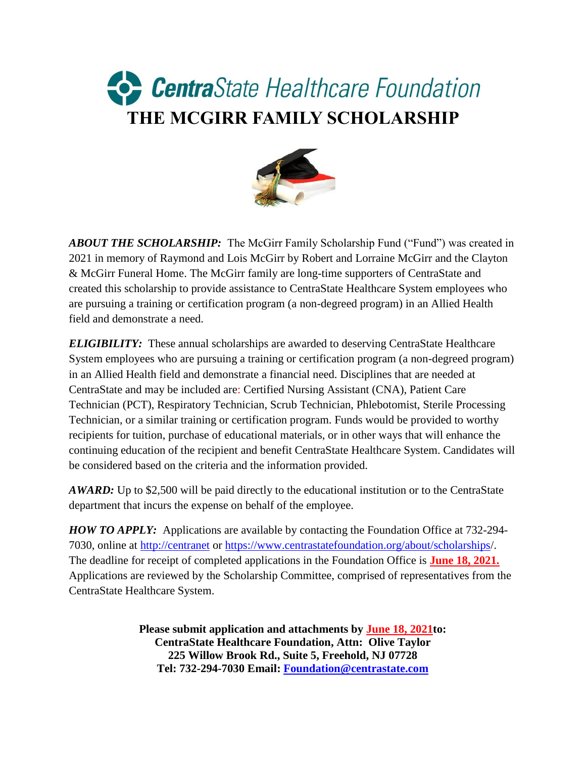## CentraState Healthcare Foundation **THE MCGIRR FAMILY SCHOLARSHIP**



*ABOUT THE SCHOLARSHIP:* The McGirr Family Scholarship Fund ("Fund") was created in 2021 in memory of Raymond and Lois McGirr by Robert and Lorraine McGirr and the Clayton & McGirr Funeral Home. The McGirr family are long-time supporters of CentraState and created this scholarship to provide assistance to CentraState Healthcare System employees who are pursuing a training or certification program (a non-degreed program) in an Allied Health field and demonstrate a need.

*ELIGIBILITY:* These annual scholarships are awarded to deserving CentraState Healthcare System employees who are pursuing a training or certification program (a non-degreed program) in an Allied Health field and demonstrate a financial need. Disciplines that are needed at CentraState and may be included are: Certified Nursing Assistant (CNA), Patient Care Technician (PCT), Respiratory Technician, Scrub Technician, Phlebotomist, Sterile Processing Technician, or a similar training or certification program. Funds would be provided to worthy recipients for tuition, purchase of educational materials, or in other ways that will enhance the continuing education of the recipient and benefit CentraState Healthcare System. Candidates will be considered based on the criteria and the information provided.

*AWARD:* Up to \$2,500 will be paid directly to the educational institution or to the CentraState department that incurs the expense on behalf of the employee.

*HOW TO APPLY:* Applications are available by contacting the Foundation Office at 732-294- 7030, online at [http://centranet](http://centranet/) or<https://www.centrastatefoundation.org/about/scholarships/>. The deadline for receipt of completed applications in the Foundation Office is **June 18, 2021.** Applications are reviewed by the Scholarship Committee, comprised of representatives from the CentraState Healthcare System.

> **Please submit application and attachments by June 18, 2021to: CentraState Healthcare Foundation, Attn: Olive Taylor 225 Willow Brook Rd., Suite 5, Freehold, NJ 07728 Tel: 732-294-7030 Email: [Foundation@centrastate.com](mailto:Foundation@centrastate.com)**